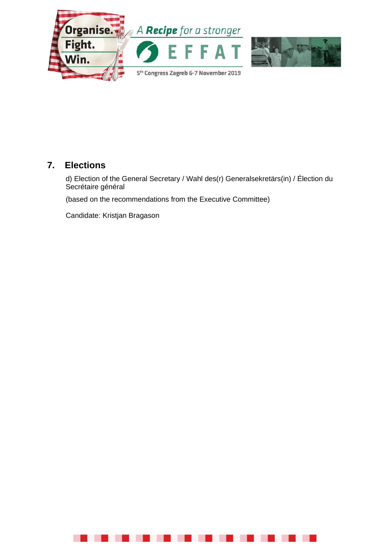

# **7. Elections**

d) Election of the General Secretary / Wahl des(r) Generalsekretärs(in) / Élection du Secrétaire général

(based on the recommendations from the Executive Committee)

Candidate: Kristjan Bragason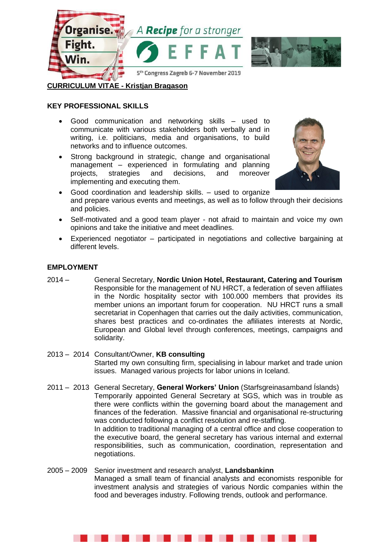

# **CURRICULUM VITAE - Kristjan Bragason**

#### **KEY PROFESSIONAL SKILLS**

- Good communication and networking skills used to communicate with various stakeholders both verbally and in writing, i.e. politicians, media and organisations, to build networks and to influence outcomes.
- Strong background in strategic, change and organisational management – experienced in formulating and planning projects, strategies and decisions, and moreover implementing and executing them.



- Good coordination and leadership skills. used to organize and prepare various events and meetings, as well as to follow through their decisions and policies.
- Self-motivated and a good team player not afraid to maintain and voice my own opinions and take the initiative and meet deadlines.
- Experienced negotiator participated in negotiations and collective bargaining at different levels.

#### **EMPLOYMENT**

- 2014 General Secretary, **Nordic Union Hotel, Restaurant, Catering and Tourism** Responsible for the management of NU HRCT, a federation of seven affiliates in the Nordic hospitality sector with 100.000 members that provides its member unions an important forum for cooperation. NU HRCT runs a small secretariat in Copenhagen that carries out the daily activities, communication, shares best practices and co-ordinates the afliliates interests at Nordic, European and Global level through conferences, meetings, campaigns and solidarity.
- 2013 2014 Consultant/Owner, **KB consulting** Started my own consulting firm, specialising in labour market and trade union issues. Managed various projects for labor unions in Iceland.
- 2011 2013 General Secretary, **General Workers' Union** (Starfsgreinasamband Íslands) Temporarily appointed General Secretary at SGS, which was in trouble as there were conflicts within the governing board about the management and finances of the federation. Massive financial and organisational re-structuring was conducted following a conflict resolution and re-staffing. In addition to traditional managing of a central office and close cooperation to the executive board, the general secretary has various internal and external responsibilities, such as communication, coordination, representation and negotiations.
- 2005 2009 Senior investment and research analyst, **Landsbankinn** Managed a small team of financial analysts and economists responible for investment analysis and strategies of various Nordic companies within the food and beverages industry. Following trends, outlook and performance.

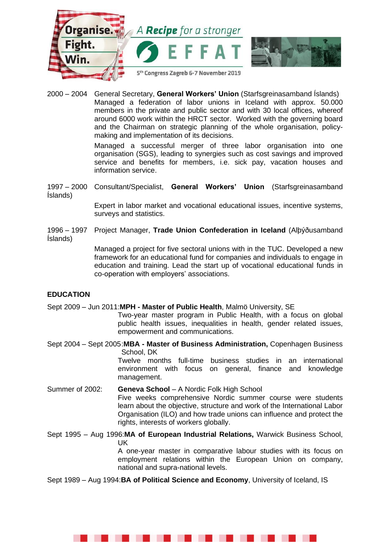

2000 – 2004 General Secretary, **General Workers' Union** (Starfsgreinasamband Íslands) Managed a federation of labor unions in Iceland with approx. 50.000 members in the private and public sector and with 30 local offices, whereof around 6000 work within the HRCT sector. Worked with the governing board and the Chairman on strategic planning of the whole organisation, policymaking and implementation of its decisions.

> Managed a successful merger of three labor organisation into one organisation (SGS), leading to synergies such as cost savings and improved service and benefits for members, i.e. sick pay, vacation houses and information service.

1997 – 2000 Consultant/Specialist, **General Workers' Union** (Starfsgreinasamband Íslands)

> Expert in labor market and vocational educational issues, incentive systems, surveys and statistics.

1996 – 1997 Project Manager, **Trade Union Confederation in Iceland** (Alþýðusamband Íslands)

> Managed a project for five sectoral unions with in the TUC. Developed a new framework for an educational fund for companies and individuals to engage in education and training. Lead the start up of vocational educational funds in co-operation with employers' associations.

#### **EDUCATION**

Sept 2009 – Jun 2011:**MPH - Master of Public Health**, Malmö University, SE

Two-year master program in Public Health, with a focus on global public health issues, inequalities in health, gender related issues, empowerment and communications.

Sept 2004 – Sept 2005:**MBA - Master of Business Administration,** Copenhagen Business School, DK Twelve months full-time business studies in an international

environment with focus on general, finance and knowledge management.

Summer of 2002: **Geneva School** – A Nordic Folk High School Five weeks comprehensive Nordic summer course were students learn about the objective, structure and work of the International Labor Organisation (ILO) and how trade unions can influence and protect the rights, interests of workers globally.

Sept 1995 – Aug 1996:**MA of European Industrial Relations,** Warwick Business School, UK

A one-year master in comparative labour studies with its focus on employment relations within the European Union on company, national and supra-national levels.

Sept 1989 – Aug 1994:**BA of Political Science and Economy**, University of Iceland, IS